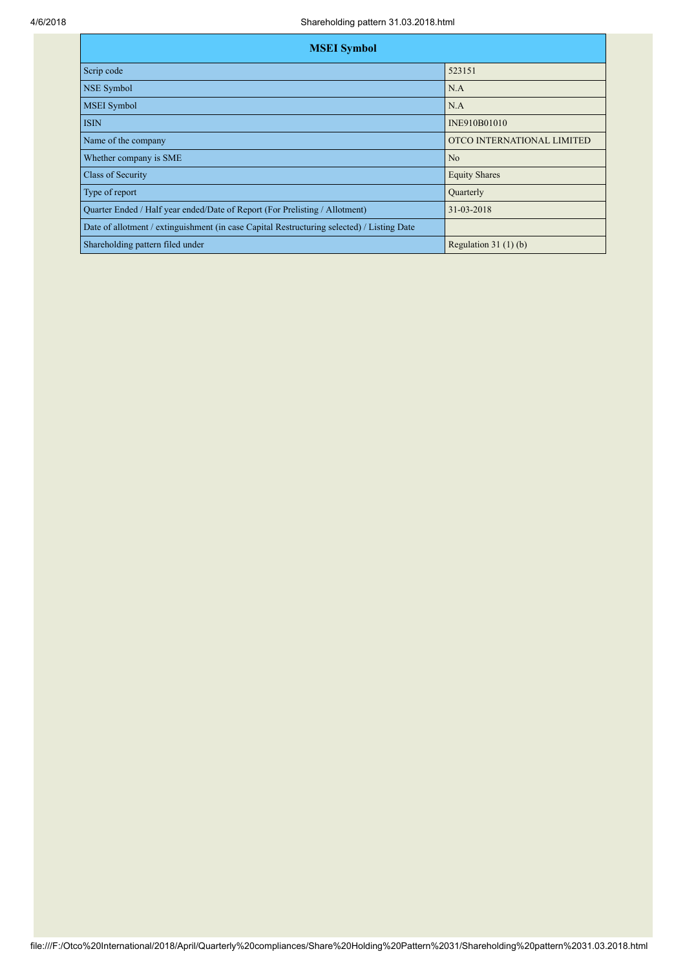| <b>MSEI</b> Symbol                                                                         |                            |  |  |  |  |  |  |
|--------------------------------------------------------------------------------------------|----------------------------|--|--|--|--|--|--|
| Scrip code                                                                                 | 523151                     |  |  |  |  |  |  |
| <b>NSE Symbol</b>                                                                          | N.A                        |  |  |  |  |  |  |
| <b>MSEI</b> Symbol                                                                         | N.A                        |  |  |  |  |  |  |
| <b>ISIN</b>                                                                                | INE910B01010               |  |  |  |  |  |  |
| Name of the company                                                                        | OTCO INTERNATIONAL LIMITED |  |  |  |  |  |  |
| Whether company is SME                                                                     | No                         |  |  |  |  |  |  |
| <b>Class of Security</b>                                                                   | <b>Equity Shares</b>       |  |  |  |  |  |  |
| Type of report                                                                             | Quarterly                  |  |  |  |  |  |  |
| Quarter Ended / Half year ended/Date of Report (For Prelisting / Allotment)                | 31-03-2018                 |  |  |  |  |  |  |
| Date of allotment / extinguishment (in case Capital Restructuring selected) / Listing Date |                            |  |  |  |  |  |  |
| Shareholding pattern filed under                                                           | Regulation 31 $(1)(b)$     |  |  |  |  |  |  |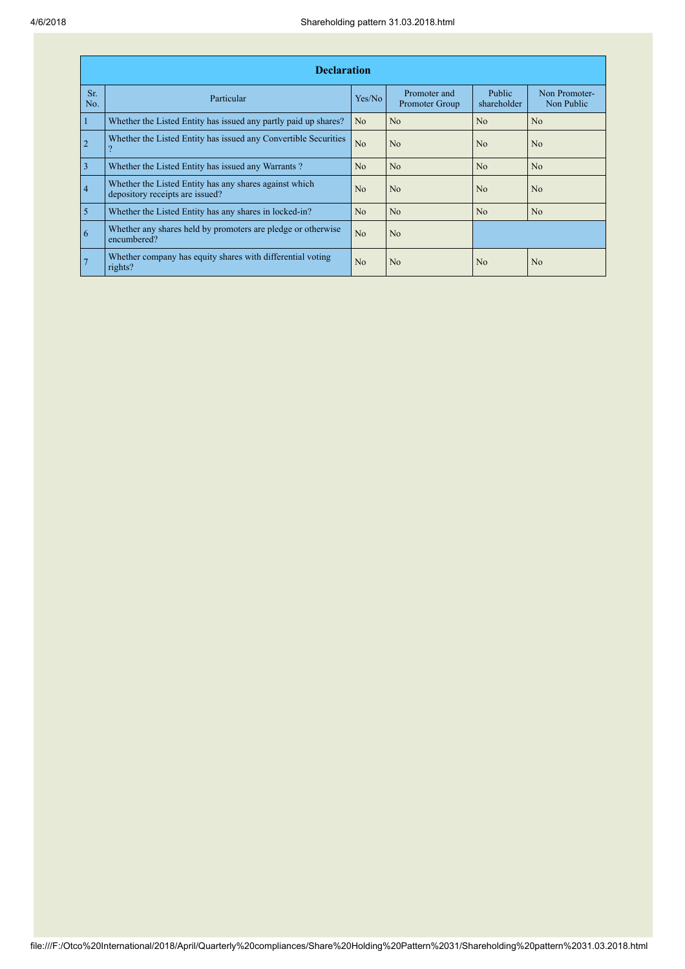|                 | <b>Declaration</b>                                                                          |                |                                |                       |                             |  |  |  |  |
|-----------------|---------------------------------------------------------------------------------------------|----------------|--------------------------------|-----------------------|-----------------------------|--|--|--|--|
| Sr.<br>No.      | Particular                                                                                  | Yes/No         | Promoter and<br>Promoter Group | Public<br>shareholder | Non Promoter-<br>Non Public |  |  |  |  |
| $\mathbf{1}$    | Whether the Listed Entity has issued any partly paid up shares?                             | N <sub>o</sub> | N <sub>o</sub>                 | N <sub>o</sub>        | N <sub>o</sub>              |  |  |  |  |
| $\overline{2}$  | Whether the Listed Entity has issued any Convertible Securities<br>$\overline{\mathcal{L}}$ | No             | N <sub>o</sub>                 | No                    | N <sub>o</sub>              |  |  |  |  |
| $\overline{3}$  | Whether the Listed Entity has issued any Warrants?                                          | N <sub>o</sub> | N <sub>o</sub>                 | N <sub>0</sub>        | No                          |  |  |  |  |
| $\overline{4}$  | Whether the Listed Entity has any shares against which<br>depository receipts are issued?   | N <sub>o</sub> | N <sub>o</sub>                 | No                    | N <sub>o</sub>              |  |  |  |  |
| $\overline{5}$  | Whether the Listed Entity has any shares in locked-in?                                      | N <sub>o</sub> | N <sub>o</sub>                 | No                    | N <sub>o</sub>              |  |  |  |  |
| $\overline{6}$  | Whether any shares held by promoters are pledge or otherwise<br>encumbered?                 | N <sub>o</sub> | N <sub>o</sub>                 |                       |                             |  |  |  |  |
| $7\phantom{.0}$ | Whether company has equity shares with differential voting<br>rights?                       | N <sub>o</sub> | N <sub>o</sub>                 | N <sub>0</sub>        | N <sub>0</sub>              |  |  |  |  |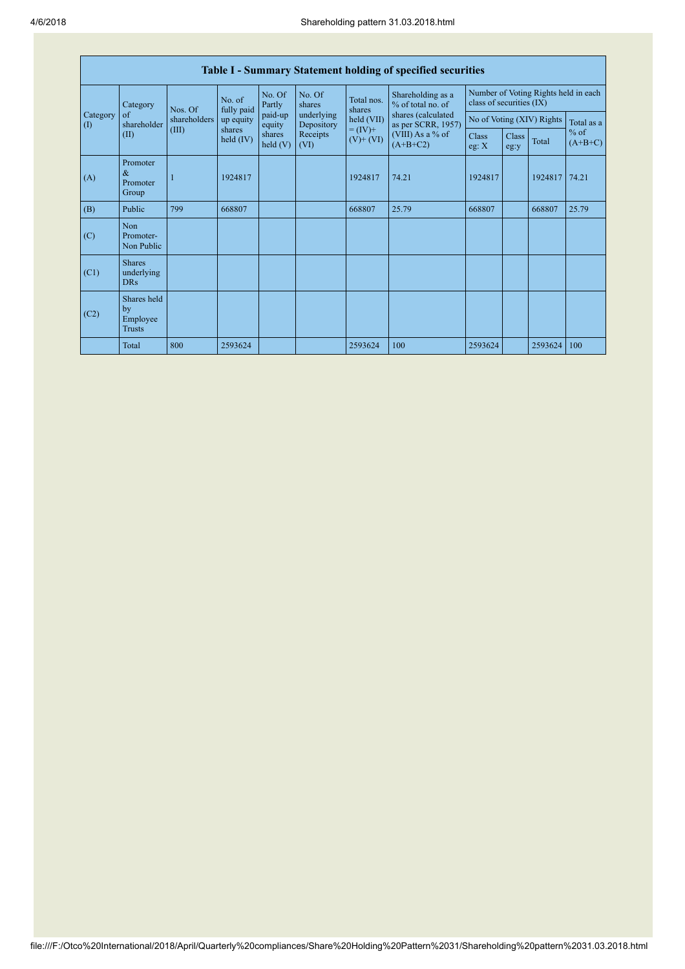| <b>Table I - Summary Statement holding of specified securities</b> |                                                |              |                       |                      |                          |                             |                                                                                                                      |                                                                  |               |         |                     |
|--------------------------------------------------------------------|------------------------------------------------|--------------|-----------------------|----------------------|--------------------------|-----------------------------|----------------------------------------------------------------------------------------------------------------------|------------------------------------------------------------------|---------------|---------|---------------------|
|                                                                    | Category                                       | Nos. Of      | No. of<br>fully paid  | No. Of<br>Partly     | No. Of<br>shares         | Total nos.<br>shares        | Shareholding as a<br>% of total no. of<br>shares (calculated<br>as per SCRR, 1957)<br>(VIII) As a % of<br>$(A+B+C2)$ | Number of Voting Rights held in each<br>class of securities (IX) |               |         |                     |
| Category<br>$\left( \mathrm{I}\right)$                             | of<br>shareholder                              | shareholders | up equity             | paid-up<br>equity    | underlying<br>Depository | held (VII)                  |                                                                                                                      | No of Voting (XIV) Rights                                        |               |         | Total as a          |
|                                                                    | (II)                                           | (III)        | shares<br>held $(IV)$ | shares<br>held $(V)$ | Receipts<br>(VI)         | $= (IV) +$<br>$(V)$ + $(V)$ |                                                                                                                      | <b>Class</b><br>eg: X                                            | Class<br>eg:y | Total   | $%$ of<br>$(A+B+C)$ |
| (A)                                                                | Promoter<br>&<br>Promoter<br>Group             |              | 1924817               |                      |                          | 1924817                     | 74.21                                                                                                                | 1924817                                                          |               | 1924817 | 74.21               |
| (B)                                                                | Public                                         | 799          | 668807                |                      |                          | 668807                      | 25.79                                                                                                                | 668807                                                           |               | 668807  | 25.79               |
| (C)                                                                | Non<br>Promoter-<br>Non Public                 |              |                       |                      |                          |                             |                                                                                                                      |                                                                  |               |         |                     |
| (C1)                                                               | <b>Shares</b><br>underlying<br><b>DRs</b>      |              |                       |                      |                          |                             |                                                                                                                      |                                                                  |               |         |                     |
| (C2)                                                               | Shares held<br>by<br>Employee<br><b>Trusts</b> |              |                       |                      |                          |                             |                                                                                                                      |                                                                  |               |         |                     |
|                                                                    | Total                                          | 800          | 2593624               |                      |                          | 2593624                     | 100                                                                                                                  | 2593624                                                          |               | 2593624 | 100                 |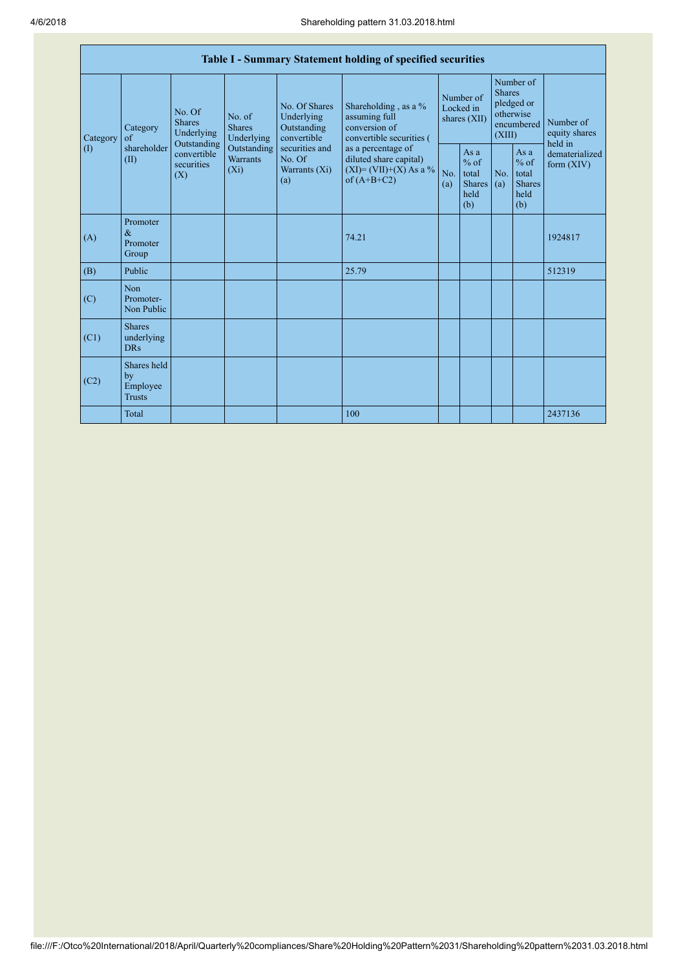|                                        | Table I - Summary Statement holding of specified securities |                                                                                                                                                   |             |                                                                                                               |                                                                                                                                                                                  |                                        |                                                         |                                                                               |                                                         |                                       |
|----------------------------------------|-------------------------------------------------------------|---------------------------------------------------------------------------------------------------------------------------------------------------|-------------|---------------------------------------------------------------------------------------------------------------|----------------------------------------------------------------------------------------------------------------------------------------------------------------------------------|----------------------------------------|---------------------------------------------------------|-------------------------------------------------------------------------------|---------------------------------------------------------|---------------------------------------|
| Category<br>$\left( \mathrm{I}\right)$ | Category<br>$\sigma$ f<br>shareholder<br>(II)               | No. Of<br>No. of<br><b>Shares</b><br><b>Shares</b><br>Underlying<br>Outstanding<br>convertible<br><b>Warrants</b><br>securities<br>$(X_i)$<br>(X) | Underlying  | No. Of Shares<br>Underlying<br>Outstanding<br>convertible<br>securities and<br>No. Of<br>Warrants (Xi)<br>(a) | Shareholding, as a %<br>assuming full<br>conversion of<br>convertible securities (<br>as a percentage of<br>diluted share capital)<br>$(XI) = (VII)+(X) As a %$<br>of $(A+B+C2)$ | Number of<br>Locked in<br>shares (XII) |                                                         | Number of<br><b>Shares</b><br>pledged or<br>otherwise<br>encumbered<br>(XIII) |                                                         | Number of<br>equity shares<br>held in |
|                                        |                                                             |                                                                                                                                                   | Outstanding |                                                                                                               |                                                                                                                                                                                  | No.<br>(a)                             | As a<br>$%$ of<br>total<br><b>Shares</b><br>held<br>(b) | No.<br>(a)                                                                    | As a<br>$%$ of<br>total<br><b>Shares</b><br>held<br>(b) | dematerialized<br>form $(XIV)$        |
| (A)                                    | Promoter<br>$\alpha$<br>Promoter<br>Group                   |                                                                                                                                                   |             |                                                                                                               | 74.21                                                                                                                                                                            |                                        |                                                         |                                                                               |                                                         | 1924817                               |
| (B)                                    | Public                                                      |                                                                                                                                                   |             |                                                                                                               | 25.79                                                                                                                                                                            |                                        |                                                         |                                                                               |                                                         | 512319                                |
| (C)                                    | <b>Non</b><br>Promoter-<br>Non Public                       |                                                                                                                                                   |             |                                                                                                               |                                                                                                                                                                                  |                                        |                                                         |                                                                               |                                                         |                                       |
| (C1)                                   | <b>Shares</b><br>underlying<br><b>DRs</b>                   |                                                                                                                                                   |             |                                                                                                               |                                                                                                                                                                                  |                                        |                                                         |                                                                               |                                                         |                                       |
| (C2)                                   | Shares held<br>by<br>Employee<br><b>Trusts</b>              |                                                                                                                                                   |             |                                                                                                               |                                                                                                                                                                                  |                                        |                                                         |                                                                               |                                                         |                                       |
|                                        | Total                                                       |                                                                                                                                                   |             |                                                                                                               | 100                                                                                                                                                                              |                                        |                                                         |                                                                               |                                                         | 2437136                               |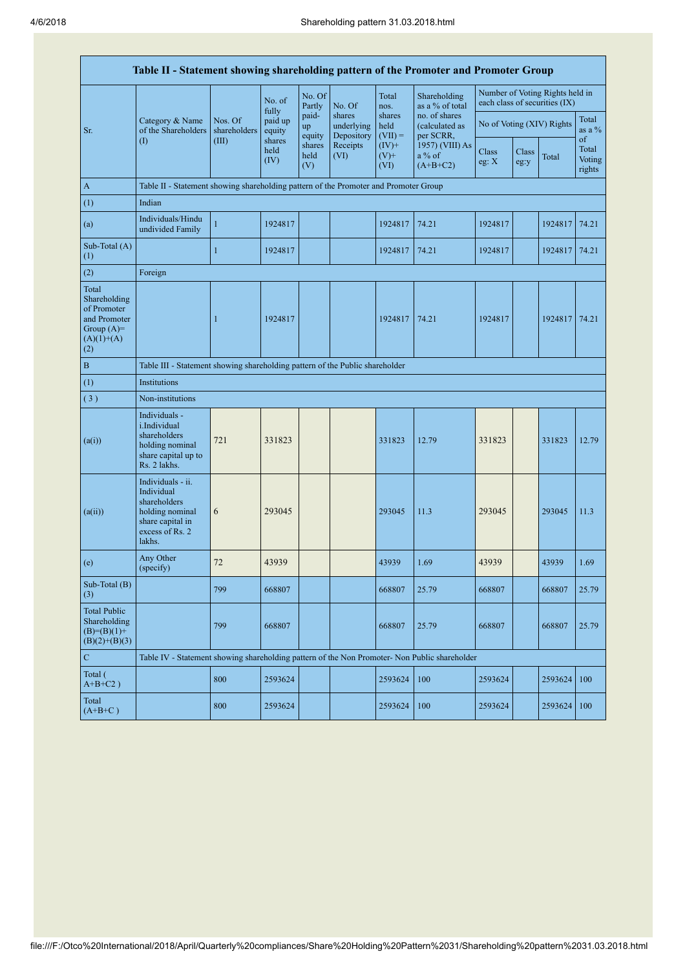| Table II - Statement showing shareholding pattern of the Promoter and Promoter Group        |                                                                                                                     |                                                                                      |                            |                       |                                    |                             |                                              |                |               |                                                                  |                           |
|---------------------------------------------------------------------------------------------|---------------------------------------------------------------------------------------------------------------------|--------------------------------------------------------------------------------------|----------------------------|-----------------------|------------------------------------|-----------------------------|----------------------------------------------|----------------|---------------|------------------------------------------------------------------|---------------------------|
|                                                                                             |                                                                                                                     |                                                                                      | No. of                     | No. Of<br>Partly      | No. Of                             | Total<br>nos.               | Shareholding<br>as a % of total              |                |               | Number of Voting Rights held in<br>each class of securities (IX) |                           |
| Sr.                                                                                         | Category & Name<br>of the Shareholders                                                                              | Nos. Of<br>shareholders                                                              | fully<br>paid up<br>equity | paid-<br>up<br>equity | shares<br>underlying<br>Depository | shares<br>held<br>$(VII) =$ | no. of shares<br>(calculated as<br>per SCRR, |                |               | No of Voting (XIV) Rights                                        | Total<br>as a $%$<br>of   |
|                                                                                             | $\rm(I)$                                                                                                            | (III)                                                                                | shares<br>held<br>(IV)     | shares<br>held<br>(V) | Receipts<br>(VI)                   | $(IV)+$<br>$(V)$ +<br>(VI)  | 1957) (VIII) As<br>a % of<br>$(A+B+C2)$      | Class<br>eg: X | Class<br>eg:y | Total                                                            | Total<br>Voting<br>rights |
| $\mathbf{A}$                                                                                |                                                                                                                     | Table II - Statement showing shareholding pattern of the Promoter and Promoter Group |                            |                       |                                    |                             |                                              |                |               |                                                                  |                           |
| (1)                                                                                         | Indian                                                                                                              |                                                                                      |                            |                       |                                    |                             |                                              |                |               |                                                                  |                           |
| (a)                                                                                         | Individuals/Hindu<br>undivided Family                                                                               | $\mathbf{1}$                                                                         | 1924817                    |                       |                                    | 1924817                     | 74.21                                        | 1924817        |               | 1924817                                                          | 74.21                     |
| Sub-Total (A)<br>(1)                                                                        |                                                                                                                     | $\mathbf{1}$                                                                         | 1924817                    |                       |                                    | 1924817                     | 74.21                                        | 1924817        |               | 1924817                                                          | 74.21                     |
| (2)                                                                                         | Foreign                                                                                                             |                                                                                      |                            |                       |                                    |                             |                                              |                |               |                                                                  |                           |
| Total<br>Shareholding<br>of Promoter<br>and Promoter<br>Group $(A)=$<br>$(A)(1)+(A)$<br>(2) |                                                                                                                     | 1                                                                                    | 1924817                    |                       |                                    | 1924817                     | 74.21                                        | 1924817        |               | 1924817   74.21                                                  |                           |
| $\, {\bf B}$                                                                                |                                                                                                                     | Table III - Statement showing shareholding pattern of the Public shareholder         |                            |                       |                                    |                             |                                              |                |               |                                                                  |                           |
| (1)                                                                                         | Institutions                                                                                                        |                                                                                      |                            |                       |                                    |                             |                                              |                |               |                                                                  |                           |
| (3)                                                                                         | Non-institutions                                                                                                    |                                                                                      |                            |                       |                                    |                             |                                              |                |               |                                                                  |                           |
| (a(i))                                                                                      | Individuals -<br>i.Individual<br>shareholders<br>holding nominal<br>share capital up to<br>Rs. 2 lakhs.             | 721                                                                                  | 331823                     |                       |                                    | 331823                      | 12.79                                        | 331823         |               | 331823                                                           | 12.79                     |
| (a(ii))                                                                                     | Individuals - ii.<br>Individual<br>shareholders<br>holding nominal<br>share capital in<br>excess of Rs. 2<br>lakhs. | 6                                                                                    | 293045                     |                       |                                    | 293045                      | 11.3                                         | 293045         |               | 293045                                                           | 11.3                      |
| (e)                                                                                         | Any Other<br>(specify)                                                                                              | 72                                                                                   | 43939                      |                       |                                    | 43939                       | 1.69                                         | 43939          |               | 43939                                                            | 1.69                      |
| Sub-Total $(B)$<br>(3)                                                                      |                                                                                                                     | 799                                                                                  | 668807                     |                       |                                    | 668807                      | 25.79                                        | 668807         |               | 668807                                                           | 25.79                     |
| <b>Total Public</b><br>Shareholding<br>$(B)=(B)(1)+$<br>$(B)(2)+(B)(3)$                     |                                                                                                                     | 799                                                                                  | 668807                     |                       |                                    | 668807                      | 25.79                                        | 668807         |               | 668807                                                           | 25.79                     |
| $\mathbf C$                                                                                 | Table IV - Statement showing shareholding pattern of the Non Promoter- Non Public shareholder                       |                                                                                      |                            |                       |                                    |                             |                                              |                |               |                                                                  |                           |
| Total (<br>$A+B+C2$ )                                                                       |                                                                                                                     | 800                                                                                  | 2593624                    |                       |                                    | 2593624                     | 100                                          | 2593624        |               | 2593624                                                          | 100                       |
| Total<br>$(A+B+C)$                                                                          |                                                                                                                     | 800                                                                                  | 2593624                    |                       |                                    | 2593624                     | 100                                          | 2593624        |               | 2593624                                                          | 100                       |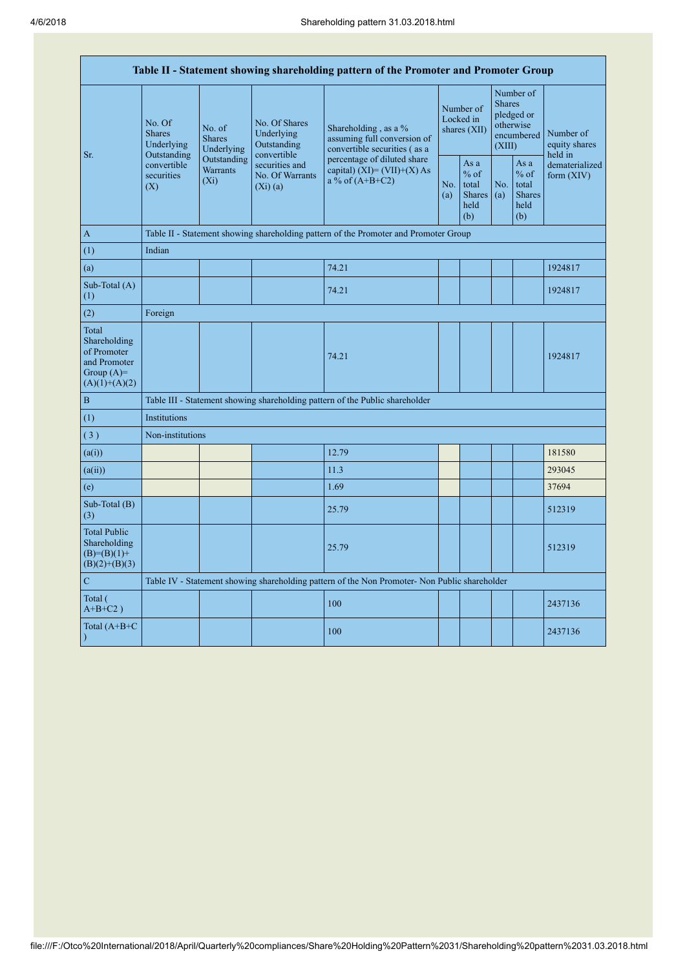| Table II - Statement showing shareholding pattern of the Promoter and Promoter Group    |                                                                                 |            |                                                           |                                                                                               |  |                                                         |            |                                                                               |                                                                         |
|-----------------------------------------------------------------------------------------|---------------------------------------------------------------------------------|------------|-----------------------------------------------------------|-----------------------------------------------------------------------------------------------|--|---------------------------------------------------------|------------|-------------------------------------------------------------------------------|-------------------------------------------------------------------------|
| Sr.                                                                                     | No. Of<br>No. of<br><b>Shares</b><br><b>Shares</b><br>Underlying<br>Outstanding | Underlying | No. Of Shares<br>Underlying<br>Outstanding<br>convertible | Shareholding, as a %<br>assuming full conversion of<br>convertible securities (as a           |  | Number of<br>Locked in<br>shares (XII)                  |            | Number of<br><b>Shares</b><br>pledged or<br>otherwise<br>encumbered<br>(XIII) | Number of<br>equity shares<br>held in<br>dematerialized<br>form $(XIV)$ |
|                                                                                         | Outstanding<br>convertible<br><b>Warrants</b><br>securities<br>$(X_i)$<br>(X)   |            | securities and<br>No. Of Warrants<br>(Xi)(a)              | percentage of diluted share<br>capital) $(XI) = (VII)+(X) As$<br>a % of $(A+B+C2)$            |  | As a<br>$%$ of<br>total<br><b>Shares</b><br>held<br>(b) | No.<br>(a) | As a<br>$%$ of<br>total<br><b>Shares</b><br>held<br>(b)                       |                                                                         |
| $\mathbf{A}$                                                                            |                                                                                 |            |                                                           | Table II - Statement showing shareholding pattern of the Promoter and Promoter Group          |  |                                                         |            |                                                                               |                                                                         |
| (1)                                                                                     | Indian                                                                          |            |                                                           |                                                                                               |  |                                                         |            |                                                                               |                                                                         |
| (a)                                                                                     |                                                                                 |            |                                                           | 74.21                                                                                         |  |                                                         |            |                                                                               | 1924817                                                                 |
| Sub-Total (A)<br>(1)                                                                    |                                                                                 |            |                                                           | 74.21                                                                                         |  |                                                         |            |                                                                               | 1924817                                                                 |
| (2)                                                                                     | Foreign                                                                         |            |                                                           |                                                                                               |  |                                                         |            |                                                                               |                                                                         |
| Total<br>Shareholding<br>of Promoter<br>and Promoter<br>Group $(A)=$<br>$(A)(1)+(A)(2)$ |                                                                                 |            |                                                           | 74.21                                                                                         |  |                                                         |            |                                                                               | 1924817                                                                 |
| $\, {\bf B}$                                                                            |                                                                                 |            |                                                           | Table III - Statement showing shareholding pattern of the Public shareholder                  |  |                                                         |            |                                                                               |                                                                         |
| (1)                                                                                     | Institutions                                                                    |            |                                                           |                                                                                               |  |                                                         |            |                                                                               |                                                                         |
| (3)                                                                                     | Non-institutions                                                                |            |                                                           |                                                                                               |  |                                                         |            |                                                                               |                                                                         |
| (a(i))                                                                                  |                                                                                 |            |                                                           | 12.79                                                                                         |  |                                                         |            |                                                                               | 181580                                                                  |
| (a(ii))                                                                                 |                                                                                 |            |                                                           | 11.3                                                                                          |  |                                                         |            |                                                                               | 293045                                                                  |
| (e)                                                                                     |                                                                                 |            |                                                           | 1.69                                                                                          |  |                                                         |            |                                                                               | 37694                                                                   |
| Sub-Total (B)<br>(3)                                                                    |                                                                                 |            |                                                           | 25.79                                                                                         |  |                                                         |            |                                                                               | 512319                                                                  |
| <b>Total Public</b><br>Shareholding<br>$(B)= (B)(1) +$<br>$(B)(2)+(B)(3)$               |                                                                                 |            |                                                           | 25.79                                                                                         |  |                                                         |            |                                                                               | 512319                                                                  |
| $\overline{C}$                                                                          |                                                                                 |            |                                                           | Table IV - Statement showing shareholding pattern of the Non Promoter- Non Public shareholder |  |                                                         |            |                                                                               |                                                                         |
| Total (<br>$A+B+C2$ )                                                                   |                                                                                 |            |                                                           | 100                                                                                           |  |                                                         |            |                                                                               | 2437136                                                                 |
| Total (A+B+C<br>$\mathcal{L}$                                                           |                                                                                 |            |                                                           | 100                                                                                           |  |                                                         |            |                                                                               | 2437136                                                                 |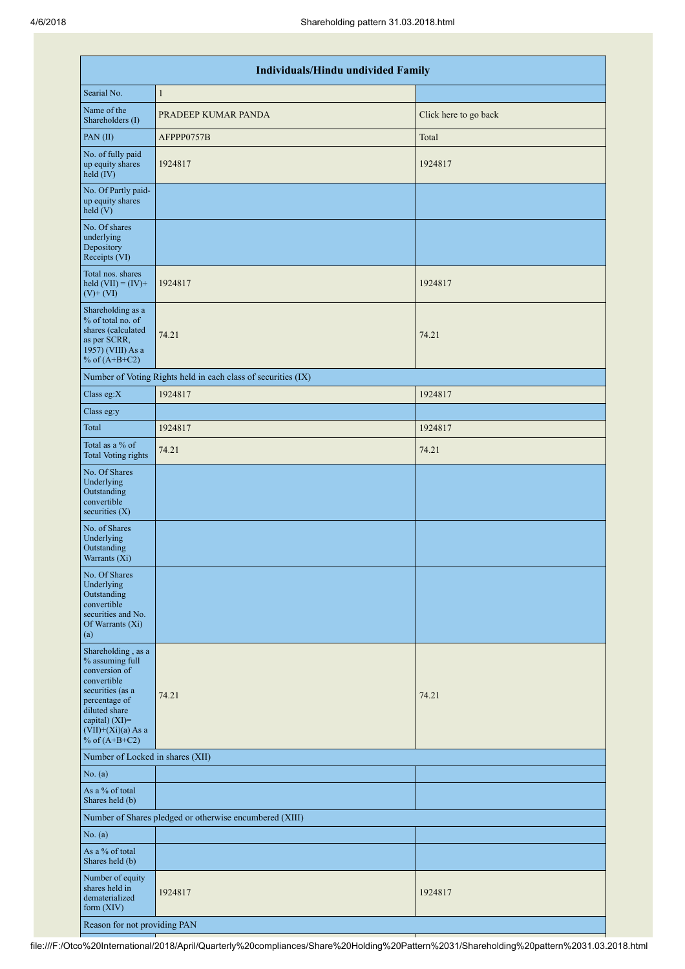|                                                                                                                                                                                          | <b>Individuals/Hindu undivided Family</b>                     |                       |  |  |  |  |  |  |  |
|------------------------------------------------------------------------------------------------------------------------------------------------------------------------------------------|---------------------------------------------------------------|-----------------------|--|--|--|--|--|--|--|
| Searial No.                                                                                                                                                                              | $\mathbf{1}$                                                  |                       |  |  |  |  |  |  |  |
| Name of the<br>Shareholders (I)                                                                                                                                                          | PRADEEP KUMAR PANDA                                           | Click here to go back |  |  |  |  |  |  |  |
| PAN(II)                                                                                                                                                                                  | AFPPP0757B                                                    | Total                 |  |  |  |  |  |  |  |
| No. of fully paid<br>up equity shares<br>held (IV)                                                                                                                                       | 1924817                                                       | 1924817               |  |  |  |  |  |  |  |
| No. Of Partly paid-<br>up equity shares<br>held(V)                                                                                                                                       |                                                               |                       |  |  |  |  |  |  |  |
| No. Of shares<br>underlying<br>Depository<br>Receipts (VI)                                                                                                                               |                                                               |                       |  |  |  |  |  |  |  |
| Total nos. shares<br>held $(VII) = (IV) +$<br>$(V)+(VI)$                                                                                                                                 | 1924817                                                       | 1924817               |  |  |  |  |  |  |  |
| Shareholding as a<br>% of total no. of<br>shares (calculated<br>as per SCRR,<br>1957) (VIII) As a<br>% of $(A+B+C2)$                                                                     | 74.21                                                         | 74.21                 |  |  |  |  |  |  |  |
|                                                                                                                                                                                          | Number of Voting Rights held in each class of securities (IX) |                       |  |  |  |  |  |  |  |
| Class eg:X                                                                                                                                                                               | 1924817                                                       | 1924817               |  |  |  |  |  |  |  |
| Class eg:y                                                                                                                                                                               |                                                               |                       |  |  |  |  |  |  |  |
| Total                                                                                                                                                                                    | 1924817                                                       | 1924817               |  |  |  |  |  |  |  |
| Total as a % of<br><b>Total Voting rights</b>                                                                                                                                            | 74.21                                                         | 74.21                 |  |  |  |  |  |  |  |
| No. Of Shares<br>Underlying<br>Outstanding<br>convertible<br>securities $(X)$                                                                                                            |                                                               |                       |  |  |  |  |  |  |  |
| No. of Shares<br>Underlying<br>Outstanding<br>Warrants (Xi)                                                                                                                              |                                                               |                       |  |  |  |  |  |  |  |
| No. Of Shares<br>Underlying<br>Outstanding<br>convertible<br>securities and No.<br>Of Warrants (Xi)<br>(a)                                                                               |                                                               |                       |  |  |  |  |  |  |  |
| Shareholding, as a<br>% assuming full<br>conversion of<br>convertible<br>securities (as a<br>percentage of<br>diluted share<br>capital) (XI)=<br>$(VII)+(Xi)(a)$ As a<br>% of $(A+B+C2)$ | 74.21                                                         | 74.21                 |  |  |  |  |  |  |  |
| Number of Locked in shares (XII)                                                                                                                                                         |                                                               |                       |  |  |  |  |  |  |  |
| No. (a)                                                                                                                                                                                  |                                                               |                       |  |  |  |  |  |  |  |
| As a % of total<br>Shares held (b)                                                                                                                                                       |                                                               |                       |  |  |  |  |  |  |  |
|                                                                                                                                                                                          | Number of Shares pledged or otherwise encumbered (XIII)       |                       |  |  |  |  |  |  |  |
| No. (a)                                                                                                                                                                                  |                                                               |                       |  |  |  |  |  |  |  |
| As a % of total<br>Shares held (b)                                                                                                                                                       |                                                               |                       |  |  |  |  |  |  |  |
| Number of equity<br>shares held in<br>dematerialized<br>form $(XIV)$                                                                                                                     | 1924817                                                       | 1924817               |  |  |  |  |  |  |  |
| Reason for not providing PAN                                                                                                                                                             |                                                               |                       |  |  |  |  |  |  |  |

file:///F:/Otco%20International/2018/April/Quarterly%20compliances/Share%20Holding%20Pattern%2031/Shareholding%20pattern%2031.03.2018.html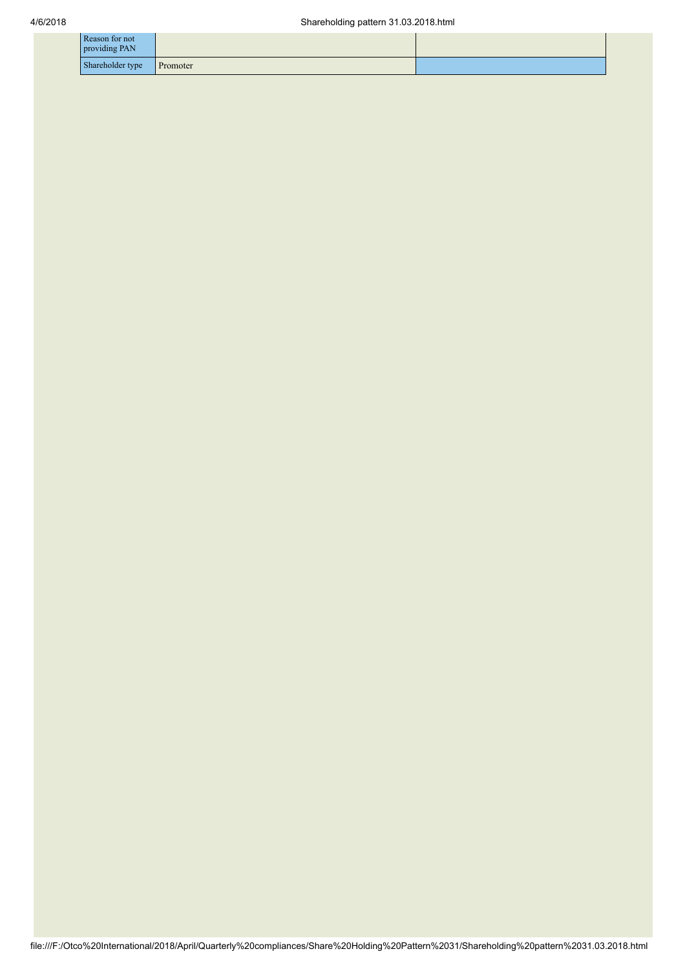| Reason for not<br>providing PAN |          |  |
|---------------------------------|----------|--|
| Shareholder type                | Promoter |  |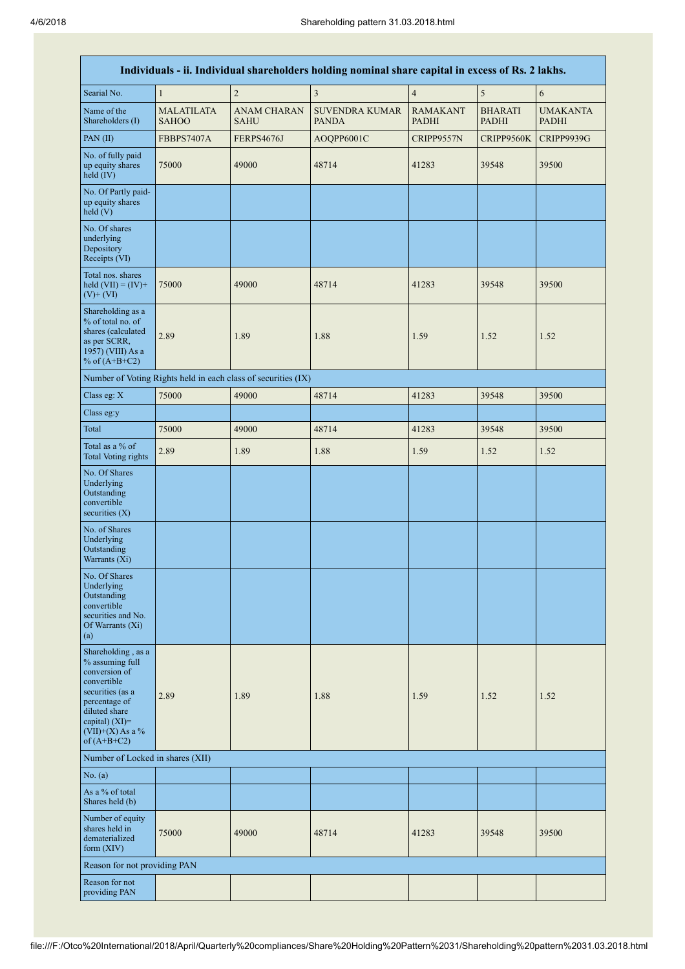|                                                                                                                                                                                         | Individuals - ii. Individual shareholders holding nominal share capital in excess of Rs. 2 lakhs. |                                                               |                                       |                                 |                                |                                 |  |  |
|-----------------------------------------------------------------------------------------------------------------------------------------------------------------------------------------|---------------------------------------------------------------------------------------------------|---------------------------------------------------------------|---------------------------------------|---------------------------------|--------------------------------|---------------------------------|--|--|
| Searial No.                                                                                                                                                                             | $\mathbf{1}$                                                                                      | $\overline{c}$                                                | 3                                     | $\overline{4}$                  | 5                              | 6                               |  |  |
| Name of the<br>Shareholders (I)                                                                                                                                                         | <b>MALATILATA</b><br><b>SAHOO</b>                                                                 | <b>ANAM CHARAN</b><br>SAHU                                    | <b>SUVENDRA KUMAR</b><br><b>PANDA</b> | <b>RAMAKANT</b><br><b>PADHI</b> | <b>BHARATI</b><br><b>PADHI</b> | <b>UMAKANTA</b><br><b>PADHI</b> |  |  |
| PAN(II)                                                                                                                                                                                 | <b>FBBPS7407A</b>                                                                                 | <b>FERPS4676J</b>                                             | AOQPP6001C                            | CRIPP9557N                      | CRIPP9560K                     | <b>CRIPP9939G</b>               |  |  |
| No. of fully paid<br>up equity shares<br>held $(IV)$                                                                                                                                    | 75000                                                                                             | 49000                                                         | 48714                                 | 41283                           | 39548                          | 39500                           |  |  |
| No. Of Partly paid-<br>up equity shares<br>held(V)                                                                                                                                      |                                                                                                   |                                                               |                                       |                                 |                                |                                 |  |  |
| No. Of shares<br>underlying<br>Depository<br>Receipts (VI)                                                                                                                              |                                                                                                   |                                                               |                                       |                                 |                                |                                 |  |  |
| Total nos. shares<br>held $(VII) = (IV) +$<br>$(V)+(VI)$                                                                                                                                | 75000                                                                                             | 49000                                                         | 48714                                 | 41283                           | 39548                          | 39500                           |  |  |
| Shareholding as a<br>% of total no. of<br>shares (calculated<br>as per SCRR,<br>1957) (VIII) As a<br>% of $(A+B+C2)$                                                                    | 2.89                                                                                              | 1.89                                                          | 1.88                                  | 1.59                            | 1.52                           | 1.52                            |  |  |
|                                                                                                                                                                                         |                                                                                                   | Number of Voting Rights held in each class of securities (IX) |                                       |                                 |                                |                                 |  |  |
| Class eg: X                                                                                                                                                                             | 75000                                                                                             | 49000                                                         | 48714                                 | 41283                           | 39548                          | 39500                           |  |  |
| Class eg:y                                                                                                                                                                              |                                                                                                   |                                                               |                                       |                                 |                                |                                 |  |  |
| Total                                                                                                                                                                                   | 75000                                                                                             | 49000                                                         | 48714                                 | 41283                           | 39548                          | 39500                           |  |  |
| Total as a % of<br><b>Total Voting rights</b>                                                                                                                                           | 2.89                                                                                              | 1.89                                                          | 1.88                                  | 1.59                            | 1.52                           | 1.52                            |  |  |
| No. Of Shares<br>Underlying<br>Outstanding<br>convertible<br>securities $(X)$                                                                                                           |                                                                                                   |                                                               |                                       |                                 |                                |                                 |  |  |
| No. of Shares<br>Underlying<br>Outstanding<br>Warrants (Xi)                                                                                                                             |                                                                                                   |                                                               |                                       |                                 |                                |                                 |  |  |
| No. Of Shares<br>Underlying<br>Outstanding<br>convertible<br>securities and No.<br>Of Warrants (Xi)<br>(a)                                                                              |                                                                                                   |                                                               |                                       |                                 |                                |                                 |  |  |
| Shareholding, as a<br>% assuming full<br>conversion of<br>convertible<br>securities (as a<br>percentage of<br>diluted share<br>capital) $(XI)$ =<br>$(VII)+(X)$ As a %<br>of $(A+B+C2)$ | 2.89                                                                                              | 1.89                                                          | 1.88                                  | 1.59                            | 1.52                           | 1.52                            |  |  |
| Number of Locked in shares (XII)                                                                                                                                                        |                                                                                                   |                                                               |                                       |                                 |                                |                                 |  |  |
| No. $(a)$                                                                                                                                                                               |                                                                                                   |                                                               |                                       |                                 |                                |                                 |  |  |
| As a % of total<br>Shares held (b)                                                                                                                                                      |                                                                                                   |                                                               |                                       |                                 |                                |                                 |  |  |
| Number of equity<br>shares held in<br>dematerialized<br>form $(XIV)$                                                                                                                    | 75000                                                                                             | 49000                                                         | 48714                                 | 41283                           | 39548                          | 39500                           |  |  |
| Reason for not providing PAN                                                                                                                                                            |                                                                                                   |                                                               |                                       |                                 |                                |                                 |  |  |
| Reason for not<br>providing PAN                                                                                                                                                         |                                                                                                   |                                                               |                                       |                                 |                                |                                 |  |  |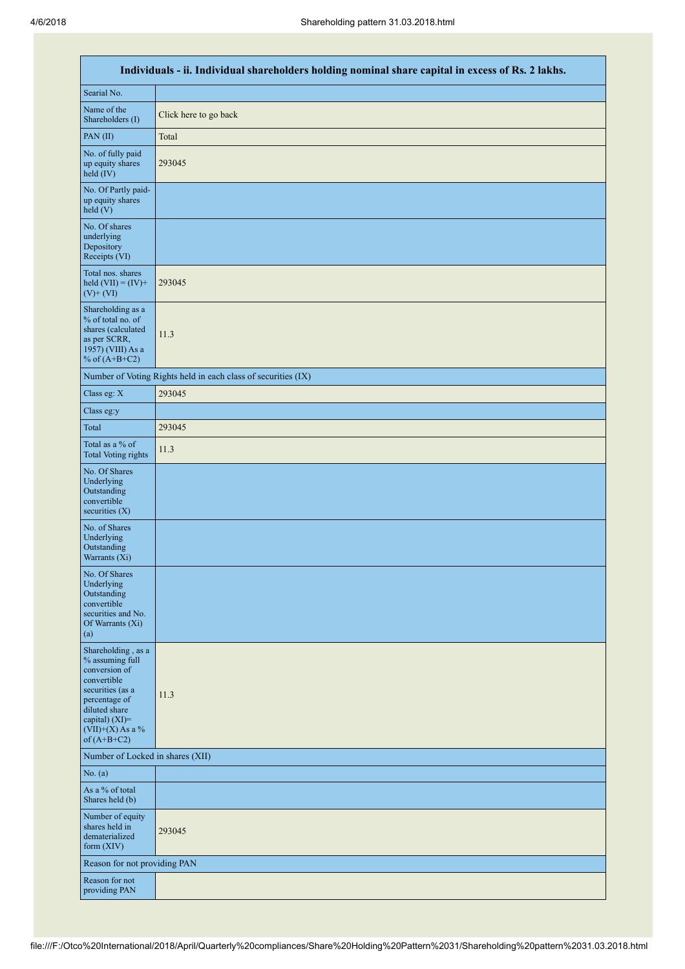|                                                                                                                                                                                      | Individuals - ii. Individual shareholders holding nominal share capital in excess of Rs. 2 lakhs. |  |  |  |  |  |  |  |
|--------------------------------------------------------------------------------------------------------------------------------------------------------------------------------------|---------------------------------------------------------------------------------------------------|--|--|--|--|--|--|--|
| Searial No.                                                                                                                                                                          |                                                                                                   |  |  |  |  |  |  |  |
| Name of the<br>Shareholders (I)                                                                                                                                                      | Click here to go back                                                                             |  |  |  |  |  |  |  |
| PAN(II)                                                                                                                                                                              | Total                                                                                             |  |  |  |  |  |  |  |
| No. of fully paid<br>up equity shares<br>held (IV)                                                                                                                                   | 293045                                                                                            |  |  |  |  |  |  |  |
| No. Of Partly paid-<br>up equity shares<br>held(V)                                                                                                                                   |                                                                                                   |  |  |  |  |  |  |  |
| No. Of shares<br>underlying<br>Depository<br>Receipts (VI)                                                                                                                           |                                                                                                   |  |  |  |  |  |  |  |
| Total nos. shares<br>held $(VII) = (IV) +$<br>$(V)$ + $(VI)$                                                                                                                         | 293045                                                                                            |  |  |  |  |  |  |  |
| Shareholding as a<br>% of total no. of<br>shares (calculated<br>as per SCRR,<br>1957) (VIII) As a<br>% of $(A+B+C2)$                                                                 | 11.3                                                                                              |  |  |  |  |  |  |  |
|                                                                                                                                                                                      | Number of Voting Rights held in each class of securities (IX)                                     |  |  |  |  |  |  |  |
| Class eg: X                                                                                                                                                                          | 293045                                                                                            |  |  |  |  |  |  |  |
| Class eg:y                                                                                                                                                                           |                                                                                                   |  |  |  |  |  |  |  |
| Total                                                                                                                                                                                | 293045                                                                                            |  |  |  |  |  |  |  |
| Total as a % of<br><b>Total Voting rights</b>                                                                                                                                        | 11.3                                                                                              |  |  |  |  |  |  |  |
| No. Of Shares<br>Underlying<br>Outstanding<br>convertible<br>securities $(X)$                                                                                                        |                                                                                                   |  |  |  |  |  |  |  |
| No. of Shares<br>Underlying<br>Outstanding<br>Warrants (Xi)                                                                                                                          |                                                                                                   |  |  |  |  |  |  |  |
| No. Of Shares<br>Underlying<br>Outstanding<br>convertible<br>securities and No.<br>Of Warrants (Xi)<br>(a)                                                                           |                                                                                                   |  |  |  |  |  |  |  |
| Shareholding, as a<br>% assuming full<br>conversion of<br>convertible<br>securities (as a<br>percentage of<br>diluted share<br>capital) (XI)=<br>$(VII)+(X)$ As a %<br>of $(A+B+C2)$ | 11.3                                                                                              |  |  |  |  |  |  |  |
| Number of Locked in shares (XII)                                                                                                                                                     |                                                                                                   |  |  |  |  |  |  |  |
| No. (a)                                                                                                                                                                              |                                                                                                   |  |  |  |  |  |  |  |
| As a % of total<br>Shares held (b)                                                                                                                                                   |                                                                                                   |  |  |  |  |  |  |  |
| Number of equity<br>shares held in<br>dematerialized<br>form (XIV)                                                                                                                   | 293045                                                                                            |  |  |  |  |  |  |  |
| Reason for not providing PAN                                                                                                                                                         |                                                                                                   |  |  |  |  |  |  |  |
| Reason for not<br>providing PAN                                                                                                                                                      |                                                                                                   |  |  |  |  |  |  |  |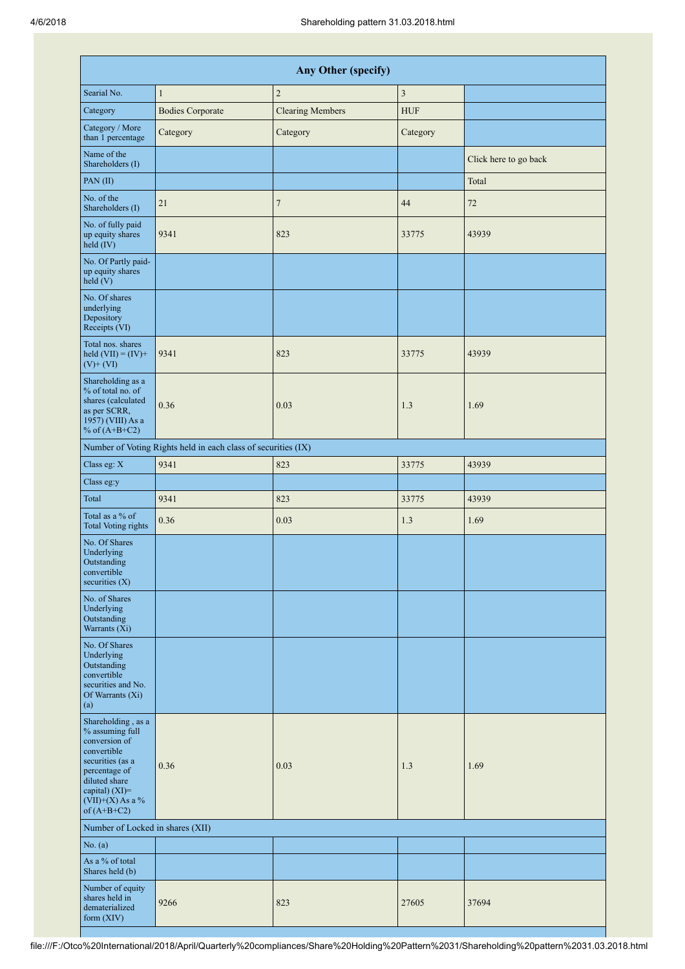|                                                                                                                                                                                         | Any Other (specify)                                           |                         |                |                       |  |  |  |  |  |
|-----------------------------------------------------------------------------------------------------------------------------------------------------------------------------------------|---------------------------------------------------------------|-------------------------|----------------|-----------------------|--|--|--|--|--|
| Searial No.                                                                                                                                                                             | $\mathbf{1}$                                                  | $\overline{c}$          | $\mathfrak{Z}$ |                       |  |  |  |  |  |
| Category                                                                                                                                                                                | <b>Bodies Corporate</b>                                       | <b>Clearing Members</b> | <b>HUF</b>     |                       |  |  |  |  |  |
| Category / More<br>than 1 percentage                                                                                                                                                    | Category                                                      | Category                | Category       |                       |  |  |  |  |  |
| Name of the<br>Shareholders (I)                                                                                                                                                         |                                                               |                         |                | Click here to go back |  |  |  |  |  |
| PAN(II)                                                                                                                                                                                 |                                                               |                         |                | Total                 |  |  |  |  |  |
| No. of the<br>Shareholders (I)                                                                                                                                                          | 21                                                            | $\overline{7}$          | 44             | 72                    |  |  |  |  |  |
| No. of fully paid<br>up equity shares<br>held (IV)                                                                                                                                      | 9341                                                          | 823                     | 33775          | 43939                 |  |  |  |  |  |
| No. Of Partly paid-<br>up equity shares<br>$\text{held} (V)$                                                                                                                            |                                                               |                         |                |                       |  |  |  |  |  |
| No. Of shares<br>underlying<br>Depository<br>Receipts (VI)                                                                                                                              |                                                               |                         |                |                       |  |  |  |  |  |
| Total nos. shares<br>held $(VII) = (IV) +$<br>$(V)$ + $(VI)$                                                                                                                            | 9341                                                          | 823                     | 33775          | 43939                 |  |  |  |  |  |
| Shareholding as a<br>% of total no. of<br>shares (calculated<br>as per SCRR,<br>1957) (VIII) As a<br>% of $(A+B+C2)$                                                                    | 0.36                                                          | 0.03                    | 1.3            | 1.69                  |  |  |  |  |  |
|                                                                                                                                                                                         | Number of Voting Rights held in each class of securities (IX) |                         |                |                       |  |  |  |  |  |
| Class eg: X                                                                                                                                                                             | 9341                                                          | 823                     | 33775          | 43939                 |  |  |  |  |  |
| Class eg:y                                                                                                                                                                              |                                                               |                         |                |                       |  |  |  |  |  |
| Total                                                                                                                                                                                   | 9341                                                          | 823                     | 33775          | 43939                 |  |  |  |  |  |
| Total as a % of<br><b>Total Voting rights</b>                                                                                                                                           | 0.36                                                          | 0.03                    | 1.3            | 1.69                  |  |  |  |  |  |
| No. Of Shares<br>Underlying<br>Outstanding<br>convertible<br>securities $(X)$                                                                                                           |                                                               |                         |                |                       |  |  |  |  |  |
| No. of Shares<br>Underlying<br>Outstanding<br>Warrants (Xi)                                                                                                                             |                                                               |                         |                |                       |  |  |  |  |  |
| No. Of Shares<br>Underlying<br>Outstanding<br>convertible<br>securities and No.<br>Of Warrants (Xi)<br>(a)                                                                              |                                                               |                         |                |                       |  |  |  |  |  |
| Shareholding, as a<br>% assuming full<br>conversion of<br>convertible<br>securities (as a<br>percentage of<br>diluted share<br>capital) $(XI)$ =<br>$(VII)+(X)$ As a %<br>of $(A+B+C2)$ | 0.36                                                          | 0.03                    | 1.3            | 1.69                  |  |  |  |  |  |
| Number of Locked in shares (XII)                                                                                                                                                        |                                                               |                         |                |                       |  |  |  |  |  |
| No. (a)                                                                                                                                                                                 |                                                               |                         |                |                       |  |  |  |  |  |
| As a % of total<br>Shares held (b)                                                                                                                                                      |                                                               |                         |                |                       |  |  |  |  |  |
| Number of equity<br>shares held in<br>dematerialized<br>form (XIV)                                                                                                                      | 9266                                                          | 823                     | 27605          | 37694                 |  |  |  |  |  |